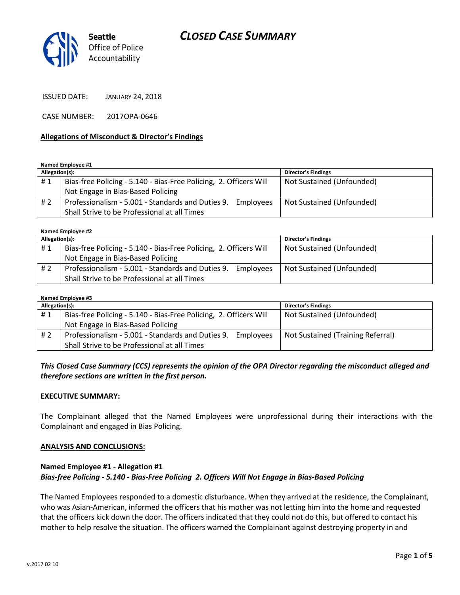## *CLOSED CASE SUMMARY*



ISSUED DATE: JANUARY 24, 2018

CASE NUMBER: 2017OPA-0646

#### **Allegations of Misconduct & Director's Findings**

**Named Employee #1**

| Allegation(s): |                                                                   | <b>Director's Findings</b> |
|----------------|-------------------------------------------------------------------|----------------------------|
| #1             | Bias-free Policing - 5.140 - Bias-Free Policing, 2. Officers Will | Not Sustained (Unfounded)  |
|                | Not Engage in Bias-Based Policing                                 |                            |
| #2             | Professionalism - 5.001 - Standards and Duties 9. Employees       | Not Sustained (Unfounded)  |
|                | Shall Strive to be Professional at all Times                      |                            |

**Named Employee #2**

| Allegation(s): |                                                                   | <b>Director's Findings</b> |  |
|----------------|-------------------------------------------------------------------|----------------------------|--|
| #1             | Bias-free Policing - 5.140 - Bias-Free Policing, 2. Officers Will | Not Sustained (Unfounded)  |  |
|                | Not Engage in Bias-Based Policing                                 |                            |  |
| # 2            | Professionalism - 5.001 - Standards and Duties 9. Employees       | Not Sustained (Unfounded)  |  |
|                | Shall Strive to be Professional at all Times                      |                            |  |

| Named Employee #3 |                                                                   |                                   |  |
|-------------------|-------------------------------------------------------------------|-----------------------------------|--|
| Allegation(s):    |                                                                   | <b>Director's Findings</b>        |  |
| #1                | Bias-free Policing - 5.140 - Bias-Free Policing, 2. Officers Will | Not Sustained (Unfounded)         |  |
|                   | Not Engage in Bias-Based Policing                                 |                                   |  |
| #2                | Professionalism - 5.001 - Standards and Duties 9. Employees       | Not Sustained (Training Referral) |  |
|                   | Shall Strive to be Professional at all Times                      |                                   |  |

#### *This Closed Case Summary (CCS) represents the opinion of the OPA Director regarding the misconduct alleged and therefore sections are written in the first person.*

#### **EXECUTIVE SUMMARY:**

The Complainant alleged that the Named Employees were unprofessional during their interactions with the Complainant and engaged in Bias Policing.

#### **ANALYSIS AND CONCLUSIONS:**

#### **Named Employee #1 - Allegation #1** *Bias-free Policing - 5.140 - Bias-Free Policing 2. Officers Will Not Engage in Bias-Based Policing*

The Named Employees responded to a domestic disturbance. When they arrived at the residence, the Complainant, who was Asian-American, informed the officers that his mother was not letting him into the home and requested that the officers kick down the door. The officers indicated that they could not do this, but offered to contact his mother to help resolve the situation. The officers warned the Complainant against destroying property in and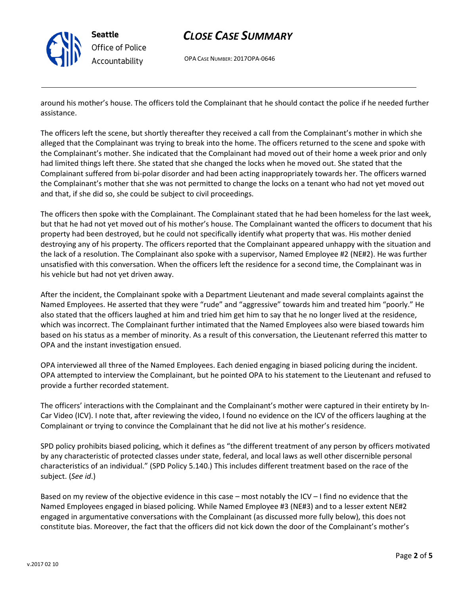

**Seattle** *Office of Police Accountability*

## *CLOSE CASE SUMMARY*

OPA CASE NUMBER: 2017OPA-0646

around his mother's house. The officers told the Complainant that he should contact the police if he needed further assistance.

The officers left the scene, but shortly thereafter they received a call from the Complainant's mother in which she alleged that the Complainant was trying to break into the home. The officers returned to the scene and spoke with the Complainant's mother. She indicated that the Complainant had moved out of their home a week prior and only had limited things left there. She stated that she changed the locks when he moved out. She stated that the Complainant suffered from bi-polar disorder and had been acting inappropriately towards her. The officers warned the Complainant's mother that she was not permitted to change the locks on a tenant who had not yet moved out and that, if she did so, she could be subject to civil proceedings.

The officers then spoke with the Complainant. The Complainant stated that he had been homeless for the last week, but that he had not yet moved out of his mother's house. The Complainant wanted the officers to document that his property had been destroyed, but he could not specifically identify what property that was. His mother denied destroying any of his property. The officers reported that the Complainant appeared unhappy with the situation and the lack of a resolution. The Complainant also spoke with a supervisor, Named Employee #2 (NE#2). He was further unsatisfied with this conversation. When the officers left the residence for a second time, the Complainant was in his vehicle but had not yet driven away.

After the incident, the Complainant spoke with a Department Lieutenant and made several complaints against the Named Employees. He asserted that they were "rude" and "aggressive" towards him and treated him "poorly." He also stated that the officers laughed at him and tried him get him to say that he no longer lived at the residence, which was incorrect. The Complainant further intimated that the Named Employees also were biased towards him based on his status as a member of minority. As a result of this conversation, the Lieutenant referred this matter to OPA and the instant investigation ensued.

OPA interviewed all three of the Named Employees. Each denied engaging in biased policing during the incident. OPA attempted to interview the Complainant, but he pointed OPA to his statement to the Lieutenant and refused to provide a further recorded statement.

The officers' interactions with the Complainant and the Complainant's mother were captured in their entirety by In-Car Video (ICV). I note that, after reviewing the video, I found no evidence on the ICV of the officers laughing at the Complainant or trying to convince the Complainant that he did not live at his mother's residence.

SPD policy prohibits biased policing, which it defines as "the different treatment of any person by officers motivated by any characteristic of protected classes under state, federal, and local laws as well other discernible personal characteristics of an individual." (SPD Policy 5.140.) This includes different treatment based on the race of the subject. (*See id*.)

Based on my review of the objective evidence in this case – most notably the ICV – I find no evidence that the Named Employees engaged in biased policing. While Named Employee #3 (NE#3) and to a lesser extent NE#2 engaged in argumentative conversations with the Complainant (as discussed more fully below), this does not constitute bias. Moreover, the fact that the officers did not kick down the door of the Complainant's mother's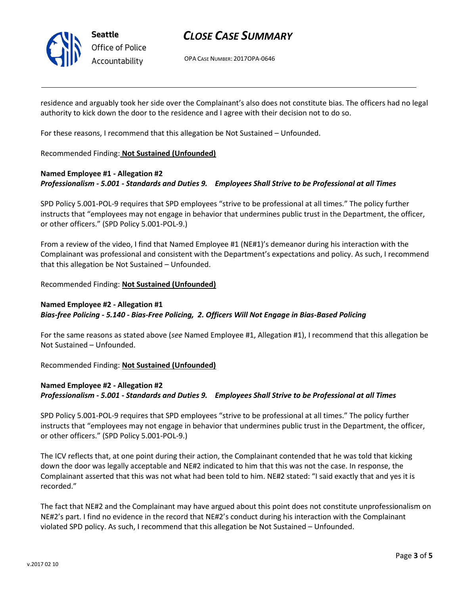

## *CLOSE CASE SUMMARY*

OPA CASE NUMBER: 2017OPA-0646

residence and arguably took her side over the Complainant's also does not constitute bias. The officers had no legal authority to kick down the door to the residence and I agree with their decision not to do so.

For these reasons, I recommend that this allegation be Not Sustained – Unfounded.

#### Recommended Finding: **Not Sustained (Unfounded)**

### **Named Employee #1 - Allegation #2** *Professionalism - 5.001 - Standards and Duties 9. Employees Shall Strive to be Professional at all Times*

SPD Policy 5.001-POL-9 requires that SPD employees "strive to be professional at all times." The policy further instructs that "employees may not engage in behavior that undermines public trust in the Department, the officer, or other officers." (SPD Policy 5.001-POL-9.)

From a review of the video, I find that Named Employee #1 (NE#1)'s demeanor during his interaction with the Complainant was professional and consistent with the Department's expectations and policy. As such, I recommend that this allegation be Not Sustained – Unfounded.

Recommended Finding: **Not Sustained (Unfounded)**

### **Named Employee #2 - Allegation #1** *Bias-free Policing - 5.140 - Bias-Free Policing, 2. Officers Will Not Engage in Bias-Based Policing*

For the same reasons as stated above (*see* Named Employee #1, Allegation #1), I recommend that this allegation be Not Sustained – Unfounded.

Recommended Finding: **Not Sustained (Unfounded)**

### **Named Employee #2 - Allegation #2** *Professionalism - 5.001 - Standards and Duties 9. Employees Shall Strive to be Professional at all Times*

SPD Policy 5.001-POL-9 requires that SPD employees "strive to be professional at all times." The policy further instructs that "employees may not engage in behavior that undermines public trust in the Department, the officer, or other officers." (SPD Policy 5.001-POL-9.)

The ICV reflects that, at one point during their action, the Complainant contended that he was told that kicking down the door was legally acceptable and NE#2 indicated to him that this was not the case. In response, the Complainant asserted that this was not what had been told to him. NE#2 stated: "I said exactly that and yes it is recorded."

The fact that NE#2 and the Complainant may have argued about this point does not constitute unprofessionalism on NE#2's part. I find no evidence in the record that NE#2's conduct during his interaction with the Complainant violated SPD policy. As such, I recommend that this allegation be Not Sustained – Unfounded.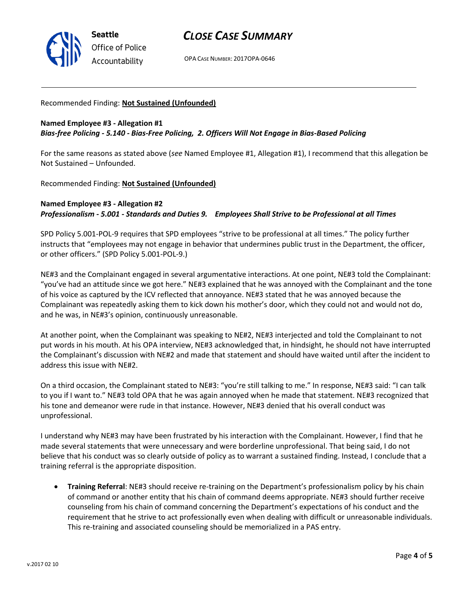

## *CLOSE CASE SUMMARY*

OPA CASE NUMBER: 2017OPA-0646

#### Recommended Finding: **Not Sustained (Unfounded)**

### **Named Employee #3 - Allegation #1** *Bias-free Policing - 5.140 - Bias-Free Policing, 2. Officers Will Not Engage in Bias-Based Policing*

For the same reasons as stated above (*see* Named Employee #1, Allegation #1), I recommend that this allegation be Not Sustained – Unfounded.

Recommended Finding: **Not Sustained (Unfounded)**

### **Named Employee #3 - Allegation #2** *Professionalism - 5.001 - Standards and Duties 9. Employees Shall Strive to be Professional at all Times*

SPD Policy 5.001-POL-9 requires that SPD employees "strive to be professional at all times." The policy further instructs that "employees may not engage in behavior that undermines public trust in the Department, the officer, or other officers." (SPD Policy 5.001-POL-9.)

NE#3 and the Complainant engaged in several argumentative interactions. At one point, NE#3 told the Complainant: "you've had an attitude since we got here." NE#3 explained that he was annoyed with the Complainant and the tone of his voice as captured by the ICV reflected that annoyance. NE#3 stated that he was annoyed because the Complainant was repeatedly asking them to kick down his mother's door, which they could not and would not do, and he was, in NE#3's opinion, continuously unreasonable.

At another point, when the Complainant was speaking to NE#2, NE#3 interjected and told the Complainant to not put words in his mouth. At his OPA interview, NE#3 acknowledged that, in hindsight, he should not have interrupted the Complainant's discussion with NE#2 and made that statement and should have waited until after the incident to address this issue with NE#2.

On a third occasion, the Complainant stated to NE#3: "you're still talking to me." In response, NE#3 said: "I can talk to you if I want to." NE#3 told OPA that he was again annoyed when he made that statement. NE#3 recognized that his tone and demeanor were rude in that instance. However, NE#3 denied that his overall conduct was unprofessional.

I understand why NE#3 may have been frustrated by his interaction with the Complainant. However, I find that he made several statements that were unnecessary and were borderline unprofessional. That being said, I do not believe that his conduct was so clearly outside of policy as to warrant a sustained finding. Instead, I conclude that a training referral is the appropriate disposition.

 **Training Referral**: NE#3 should receive re-training on the Department's professionalism policy by his chain of command or another entity that his chain of command deems appropriate. NE#3 should further receive counseling from his chain of command concerning the Department's expectations of his conduct and the requirement that he strive to act professionally even when dealing with difficult or unreasonable individuals. This re-training and associated counseling should be memorialized in a PAS entry.